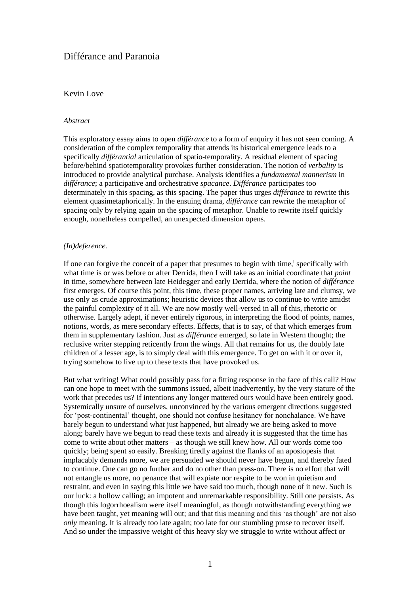# Différance and Paranoia

## Kevin Love

## *Abstract*

This exploratory essay aims to open *différance* to a form of enquiry it has not seen coming. A consideration of the complex temporality that attends its historical emergence leads to a specifically *différantial* articulation of spatio-temporality. A residual element of spacing before/behind spatiotemporality provokes further consideration. The notion of *verbality* is introduced to provide analytical purchase. Analysis identifies a *fundamental mannerism* in *différance*; a participative and orchestrative *spacance*. *Différance* participates too determinately in this spacing, as this spacing. The paper thus urges *différance* to rewrite this element quasimetaphorically. In the ensuing drama, *différance* can rewrite the metaphor of spacing only by relying again on the spacing of metaphor. Unable to rewrite itself quickly enough, nonetheless compelled, an unexpected dimension opens.

## *(In)deference.*

If one can forgive the conceit of a paper that presumes to begin with time,<sup>i</sup> specifically with what time is or was before or after Derrida, then I will take as an initial coordinate that *point* in time, somewhere between late Heidegger and early Derrida, where the notion of *différance* first emerges. Of course this point, this time, these proper names, arriving late and clumsy, we use only as crude approximations; heuristic devices that allow us to continue to write amidst the painful complexity of it all. We are now mostly well-versed in all of this, rhetoric or otherwise. Largely adept, if never entirely rigorous, in interpreting the flood of points, names, notions, words, as mere secondary effects. Effects, that is to say, of that which emerges from them in supplementary fashion. Just as *différance* emerged, so late in Western thought; the reclusive writer stepping reticently from the wings. All that remains for us, the doubly late children of a lesser age, is to simply deal with this emergence. To get on with it or over it, trying somehow to live up to these texts that have provoked us.

But what writing! What could possibly pass for a fitting response in the face of this call? How can one hope to meet with the summons issued, albeit inadvertently, by the very stature of the work that precedes us? If intentions any longer mattered ours would have been entirely good. Systemically unsure of ourselves, unconvinced by the various emergent directions suggested for 'post-continental' thought, one should not confuse hesitancy for nonchalance. We have barely begun to understand what just happened, but already we are being asked to move along; barely have we begun to read these texts and already it is suggested that the time has come to write about other matters – as though we still knew how. All our words come too quickly; being spent so easily. Breaking tiredly against the flanks of an aposiopesis that implacably demands more, we are persuaded we should never have begun, and thereby fated to continue. One can go no further and do no other than press-on. There is no effort that will not entangle us more, no penance that will expiate nor respite to be won in quietism and restraint, and even in saying this little we have said too much, though none of it new. Such is our luck: a hollow calling; an impotent and unremarkable responsibility. Still one persists. As though this logorrhoealism were itself meaningful, as though notwithstanding everything we have been taught, yet meaning will out; and that this meaning and this 'as though' are not also *only* meaning. It is already too late again; too late for our stumbling prose to recover itself. And so under the impassive weight of this heavy sky we struggle to write without affect or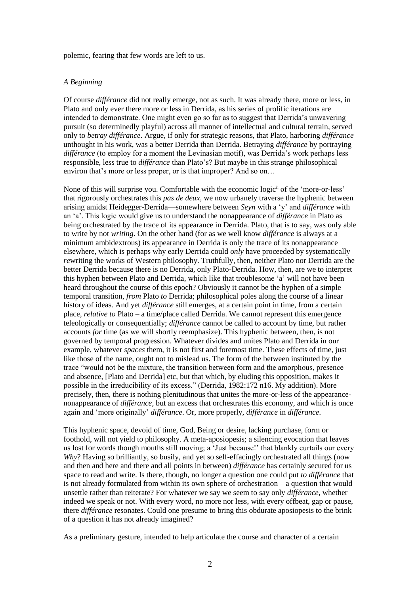polemic, fearing that few words are left to us.

#### *A Beginning*

Of course *différance* did not really emerge, not as such. It was already there, more or less, in Plato and only ever there more or less in Derrida, as his series of prolific iterations are intended to demonstrate. One might even go so far as to suggest that Derrida's unwavering pursuit (so determinedly playful) across all manner of intellectual and cultural terrain, served only to *betray différance*. Argue, if only for strategic reasons, that Plato, harboring *différance* unthought in his work, was a better Derrida than Derrida. Betraying *différance* by portraying *différance* (to employ for a moment the Levinasian motif), was Derrida's work perhaps less responsible, less true to *différance* than Plato's? But maybe in this strange philosophical environ that's more or less proper, or is that improper? And so on…

None of this will surprise you. Comfortable with the economic logic<sup>ii</sup> of the 'more-or-less' that rigorously orchestrates this *pas de deux*, we now urbanely traverse the hyphenic between arising amidst Heidegger-Derrida—somewhere between *Seyn* with a 'y' and *différance* with an 'a'. This logic would give us to understand the nonappearance of *différance* in Plato as being orchestrated by the trace of its appearance in Derrida. Plato, that is to say, was only able to write by not *writing*. On the other hand (for as we well know *différance* is always at a minimum ambidextrous) its appearance in Derrida is only the trace of its nonappearance elsewhere, which is perhaps why early Derrida could *only* have proceeded by systematically *re*writing the works of Western philosophy. Truthfully, then, neither Plato nor Derrida are the better Derrida because there is no Derrida, only Plato-Derrida. How, then, are we to interpret this hyphen between Plato and Derrida, which like that troublesome 'a' will not have been heard throughout the course of this epoch? Obviously it cannot be the hyphen of a simple temporal transition, *from* Plato *to* Derrida; philosophical poles along the course of a linear history of ideas. And yet *différance* still emerges, at a certain point in time, from a certain place, *relative to* Plato – a time/place called Derrida. We cannot represent this emergence teleologically or consequentially; *différance* cannot be called to account by time, but rather accounts *for* time (as we will shortly reemphasize). This hyphenic between, then, is not governed by temporal progression. Whatever divides and unites Plato and Derrida in our example, whatever *spaces* them, it is not first and foremost time. These effects of time, just like those of the name, ought not to mislead us. The form of the between instituted by the trace "would not be the mixture, the transition between form and the amorphous, presence and absence, [Plato and Derrida] etc, but that which, by eluding this opposition, makes it possible in the irreducibility of its excess." (Derrida, 1982:172 n16. My addition). More precisely, then, there is nothing plenitudinous that unites the more-or-less of the appearancenonappearance of *différance*, but an excess that orchestrates this economy, and which is once again and 'more originally' *différance*. Or, more properly, *différance* in *différance*.

This hyphenic space, devoid of time, God, Being or desire, lacking purchase, form or foothold, will not yield to philosophy. A meta-aposiopesis; a silencing evocation that leaves us lost for words though mouths still moving; a 'Just because!' that blankly curtails our every *Why*? Having so brilliantly, so busily, and yet so self-effacingly orchestrated all things (now and then and here and there and all points in between) *différance* has certainly secured for us space to read and write. Is there, though, no longer a question one could put *to différance* that is not already formulated from within its own sphere of orchestration – a question that would unsettle rather than reiterate? For whatever we say we seem to say only *différance*, whether indeed we speak or not. With every word, no more nor less, with every offbeat, gap or pause, there *différance* resonates. Could one presume to bring this obdurate aposiopesis to the brink of a question it has not already imagined?

As a preliminary gesture, intended to help articulate the course and character of a certain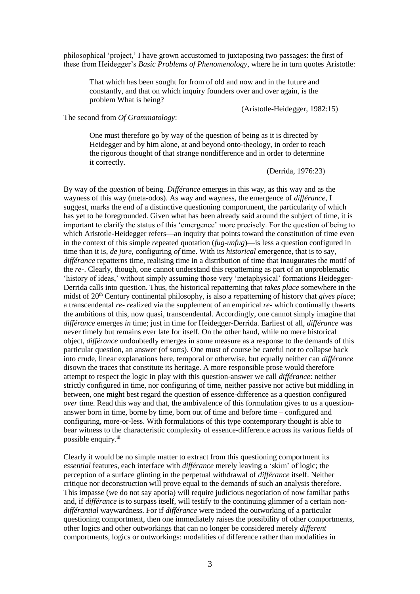philosophical 'project,' I have grown accustomed to juxtaposing two passages: the first of these from Heidegger's *Basic Problems of Phenomenology*, where he in turn quotes Aristotle:

That which has been sought for from of old and now and in the future and constantly, and that on which inquiry founders over and over again, is the problem What is being?

(Aristotle-Heidegger, 1982:15)

The second from *Of Grammatology*:

One must therefore go by way of the question of being as it is directed by Heidegger and by him alone, at and beyond onto-theology, in order to reach the rigorous thought of that strange nondifference and in order to determine it correctly.

(Derrida, 1976:23)

By way of the *question* of being. *Différance* emerges in this way, as this way and as the wayness of this way (meta-odos). As way and wayness, the emergence of *différance*, I suggest, marks the end of a distinctive questioning comportment, the particularity of which has yet to be foregrounded. Given what has been already said around the subject of time, it is important to clarify the status of this 'emergence' more precisely. For the question of being to which Aristotle-Heidegger refers—an inquiry that points toward the constitution of time even in the context of this simple *re*peated quotation (*fug-unfug*)—is less a question configured in time than it is, *de jure*, configuring *of* time. With its *historical* emergence, that is to say, *différance* repatterns time, realising time in a distribution of time that inaugurates the motif of the *re-*. Clearly, though, one cannot understand this repatterning as part of an unproblematic 'history of ideas,' without simply assuming those very 'metaphysical' formations Heidegger-Derrida calls into question. Thus, the historical repatterning that *takes place* somewhere in the midst of 20th Century continental philosophy, is also a *re*patterning of history that *gives place*; a transcendental *re- re*alized via the supplement of an empirical *re-* which continually thwarts the ambitions of this, now quasi, transcendental. Accordingly, one cannot simply imagine that *différance* emerges *in* time; just in time for Heidegger-Derrida. Earliest of all, *différance* was never timely but remains ever late for itself. On the other hand, while no mere historical object, *différance* undoubtedly emerges in some measure as a response to the demands of this particular question, an answer (of sorts). One must of course be careful not to collapse back into crude, linear explanations here, temporal or otherwise, but equally neither can *différance* disown the traces that constitute its heritage. A more responsible prose would therefore attempt to respect the logic in play with this question-answer we call *différance*: neither strictly configured in time, nor configuring of time, neither passive nor active but middling in between, one might best regard the question of essence-difference as a question configured *over* time. Read this way and that, the ambivalence of this formulation gives to us a questionanswer born in time, borne by time, born out of time and before time – configured and configuring, more-or-less. With formulations of this type contemporary thought is able to bear witness to the characteristic complexity of essence-difference across its various fields of possible enquiry.<sup>iii</sup>

Clearly it would be no simple matter to extract from this questioning comportment its *essential* features, each interface with *différance* merely leaving a 'skim' of logic; the perception of a surface glinting in the perpetual withdrawal of *différance* itself. Neither critique nor deconstruction will prove equal to the demands of such an analysis therefore. This impasse (we do not say aporia) will require judicious negotiation of now familiar paths and, if *différance* is to surpass itself, will testify to the continuing glimmer of a certain non*différantial* waywardness. For if *différance* were indeed the outworking of a particular questioning comportment, then one immediately raises the possibility of other comportments, other logics and other outworkings that can no longer be considered merely *different* comportments, logics or outworkings: modalities of difference rather than modalities in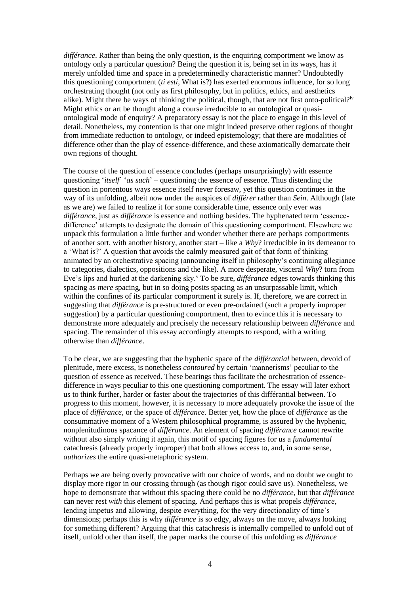*différance*. Rather than being the only question, is the enquiring comportment we know as ontology only a particular question? Being the question it is, being set in its ways, has it merely unfolded time and space in a predeterminedly characteristic manner? Undoubtedly this questioning comportment (*ti esti,* What is?) has exerted enormous influence, for so long orchestrating thought (not only as first philosophy, but in politics, ethics, and aesthetics alike). Might there be ways of thinking the political, though, that are not first onto-political?<sup>iv</sup> Might ethics or art be thought along a course irreducible to an ontological or quasiontological mode of enquiry? A preparatory essay is not the place to engage in this level of detail. Nonetheless, my contention is that one might indeed preserve other regions of thought from immediate reduction to ontology, or indeed epistemology; that there are modalities of difference other than the play of essence-difference, and these axiomatically demarcate their own regions of thought.

The course of the question of essence concludes (perhaps unsurprisingly) with essence questioning '*itself*' '*as such*' – questioning the essence of essence. Thus distending the question in portentous ways essence itself never foresaw, yet this question continues in the way of its unfolding, albeit now under the auspices of *différer* rather than *Sein*. Although (late as we are) we failed to realize it for some considerable time, essence only ever was *différance*, just as *différance* is essence and nothing besides. The hyphenated term 'essencedifference' attempts to designate the domain of this questioning comportment. Elsewhere we unpack this formulation a little further and wonder whether there are perhaps comportments of another sort, with another history, another start – like a *Why*? irreducible in its demeanor to a 'What is?' A question that avoids the calmly measured gait of that form of thinking animated by an orchestrative spacing (announcing itself in philosophy's continuing allegiance to categories, dialectics, oppositions and the like). A more desperate, visceral *Why*? torn from Eve's lips and hurled at the darkening sky.<sup>v</sup> To be sure, *différance* edges towards thinking this spacing as *mere* spacing, but in so doing posits spacing as an unsurpassable limit, which within the confines of its particular comportment it surely is. If, therefore, we are correct in suggesting that *différance* is pre-structured or even pre-ordained (such a properly improper suggestion) by a particular questioning comportment, then to evince this it is necessary to demonstrate more adequately and precisely the necessary relationship between *différance* and spacing. The remainder of this essay accordingly attempts to respond, with a writing otherwise than *différance*.

To be clear, we are suggesting that the hyphenic space of the *différantial* between, devoid of plenitude, mere excess, is nonetheless *contoured* by certain 'mannerisms' peculiar to the question of essence as received. These bearings thus facilitate the orchestration of essencedifference in ways peculiar to this one questioning comportment. The essay will later exhort us to think further, harder or faster about the trajectories of this différantial between. To progress to this moment, however, it is necessary to more adequately provoke the issue of the place of *différance*, or the space of *différance*. Better yet, how the place of *différance* as the consummative moment of a Western philosophical programme, is assured by the hyphenic, nonplenitudinous spacance of *différance*. An element of spacing *différance* cannot rewrite without also simply writing it again, this motif of spacing figures for us a *fundamental* catachresis (already properly improper) that both allows access to, and, in some sense, *authorizes* the entire quasi-metaphoric system.

Perhaps we are being overly provocative with our choice of words, and no doubt we ought to display more rigor in our crossing through (as though rigor could save us). Nonetheless, we hope to demonstrate that without this spacing there could be no *différance*, but that *différance* can never rest *with* this element of spacing. And perhaps this is what propels *différance*, lending impetus and allowing, despite everything, for the very directionality of time's dimensions; perhaps this is why *différance* is so edgy, always on the move, always looking for something different? Arguing that this catachresis is internally compelled to unfold out of itself, unfold other than itself, the paper marks the course of this unfolding as *différance*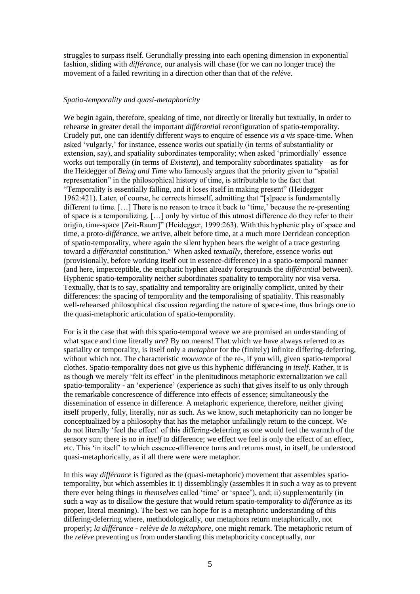struggles to surpass itself. Gerundially pressing into each opening dimension in exponential fashion, sliding with *différance*, our analysis will chase (for we can no longer trace) the movement of a failed rewriting in a direction other than that of the *relève*.

## *Spatio-temporality and quasi-metaphoricity*

We begin again, therefore, speaking of time, not directly or literally but textually, in order to rehearse in greater detail the important *différantial* reconfiguration of spatio-temporality. Crudely put, one can identify different ways to enquire of essence *vis a vis* space-time. When asked 'vulgarly,' for instance, essence works out spatially (in terms of substantiality or extension, say), and spatiality subordinates temporality; when asked 'primordially' essence works out temporally (in terms of *Existenz*), and temporality subordinates spatiality—as for the Heidegger of *Being and Time* who famously argues that the priority given to "spatial representation" in the philosophical history of time, is attributable to the fact that "Temporality is essentially falling, and it loses itself in making present" (Heidegger 1962:421). Later, of course, he corrects himself, admitting that "[s]pace is fundamentally different to time. […] There is no reason to trace it back to 'time,' because the re-presenting of space is a temporalizing. […] only by virtue of this utmost difference do they refer to their origin, time-space [Zeit-Raum]" (Heidegger, 1999:263). With this hyphenic play of space and time, a proto-*différance*, we arrive, albeit before time, at a much more Derridean conception of spatio-temporality, where again the silent hyphen bears the weight of a trace gesturing toward a *différantial* constitution.<sup>vi</sup> When asked *textually*, therefore, essence works out (provisionally, before working itself out in essence-difference) in a spatio*-*temporal manner (and here, imperceptible, the emphatic hyphen already foregrounds the *différantial* between). Hyphenic spatio-temporality neither subordinates spatiality to temporality nor visa versa. Textually, that is to say, spatiality and temporality are originally complicit, united by their differences: the spacing of temporality and the temporalising of spatiality. This reasonably well-rehearsed philosophical discussion regarding the nature of space-time, thus brings one to the quasi-metaphoric articulation of spatio-temporality.

For is it the case that with this spatio-temporal weave we are promised an understanding of what space and time literally *are*? By no means! That which we have always referred to as spatiality or temporality, is itself only a *metaphor* for the (finitely) infinite differing-deferring, without which not. The characteristic *mouvance* of the re-, if you will, given spatio-temporal clothes. Spatio-temporality does not give us this hyphenic différancing *in itself*. Rather, it is as though we merely 'felt its effect' in the plenitudinous metaphoric externalization we call spatio-temporality - an 'experience' (experience as such) that gives itself to us only through the remarkable concrescence of difference into effects of essence; simultaneously the dissemination of essence in difference. A metaphoric experience, therefore, neither giving itself properly, fully, literally, nor as such. As we know, such metaphoricity can no longer be conceptualized by a philosophy that has the metaphor unfailingly return to the concept. We do not literally 'feel the effect' of this differing-deferring as one would feel the warmth of the sensory sun; there is no *in itself* to difference; we effect we feel is only the effect of an effect, etc. This 'in itself' to which essence-difference turns and returns must, in itself, be understood quasi-metaphorically, as if all there were were metaphor.

In this way *différance* is figured as the (quasi-metaphoric) movement that assembles spatiotemporality, but which assembles it: i) dissemblingly (assembles it in such a way as to prevent there ever being things *in themselves* called 'time' or 'space'), and; ii) supplementarily (in such a way as to disallow the gesture that would return spatio-temporality to *différance* as its proper, literal meaning). The best we can hope for is a metaphoric understanding of this differing-deferring where, methodologically, our metaphors return metaphorically, not properly; *la différance - relève de la métaphore*, one might remark. The metaphoric return of the *relève* preventing us from understanding this metaphoricity conceptually, our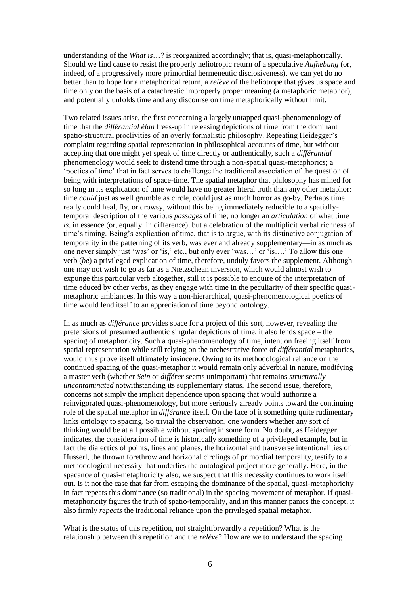understanding of the *What is*…? is reorganized accordingly; that is, quasi-metaphorically. Should we find cause to resist the properly heliotropic return of a speculative *Aufhebung* (or, indeed, of a progressively more primordial hermeneutic disclosiveness), we can yet do no better than to hope for a metaphorical return, a *relève* of the heliotrope that gives us space and time only on the basis of a catachrestic improperly proper meaning (a metaphoric metaphor), and potentially unfolds time and any discourse on time metaphorically without limit.

Two related issues arise, the first concerning a largely untapped quasi-phenomenology of time that the *différantial élan* frees-up in releasing depictions of time from the dominant spatio-structural proclivities of an overly formalistic philosophy. Repeating Heidegger's complaint regarding spatial representation in philosophical accounts of time, but without accepting that one might yet speak of time directly or authentically, such a *différantial* phenomenology would seek to distend time through a non-spatial quasi-metaphorics; a 'poetics of time' that in fact serves to challenge the traditional association of the question of being with interpretations of space-time. The spatial metaphor that philosophy has mined for so long in its explication of time would have no greater literal truth than any other metaphor: time *could* just as well grumble as circle, could just as much horror as go-by. Perhaps time really could heal, fly, or drowsy, without this being immediately reducible to a spatiallytemporal description of the various *passages* of time; no longer an *articulation* of what time *is*, in essence (or, equally, in difference), but a celebration of the multiplicit verbal richness of time's timing*.* Being's explication of time, that is to argue, with its distinctive conjugation of temporality in the patterning of its verb, was ever and already supplementary—in as much as one never simply just 'was' or 'is,' etc., but only ever 'was…' or 'is….' To allow this one verb (*be*) a privileged explication of time, therefore, unduly favors the supplement. Although one may not wish to go as far as a Nietzschean inversion, which would almost wish to expunge this particular verb altogether, still it is possible to enquire of the interpretation of time educed by other verbs, as they engage with time in the peculiarity of their specific quasimetaphoric ambiances. In this way a non-hierarchical, quasi-phenomenological poetics of time would lend itself to an appreciation of time beyond ontology.

In as much as *différance* provides space for a project of this sort, however, revealing the pretensions of presumed authentic singular depictions of time, it also lends space – the spacing of metaphoricity. Such a quasi-phenomenology of time, intent on freeing itself from spatial representation while still relying on the orchestrative force of *différantial* metaphorics, would thus prove itself ultimately insincere. Owing to its methodological reliance on the continued spacing of the quasi-metaphor it would remain only adverbial in nature, modifying a master verb (whether *Sein* or *différer* seems unimportant) that remains *structurally uncontaminated* notwithstanding its supplementary status. The second issue, therefore, concerns not simply the implicit dependence upon spacing that would authorize a reinvigorated quasi-phenomenology, but more seriously already points toward the continuing role of the spatial metaphor in *différance* itself. On the face of it something quite rudimentary links ontology to spacing. So trivial the observation, one wonders whether any sort of thinking would be at all possible without spacing in some form. No doubt, as Heidegger indicates, the consideration of time is historically something of a privileged example, but in fact the dialectics of points, lines and planes, the horizontal and transverse intentionalities of Husserl, the thrown forethrow and horizonal circlings of primordial temporality, testify to a methodological necessity that underlies the ontological project more generally. Here, in the spacance of quasi-metaphoricity also, we suspect that this necessity continues to work itself out. Is it not the case that far from escaping the dominance of the spatial, quasi-metaphoricity in fact repeats this dominance (so traditional) in the spacing movement of metaphor. If quasimetaphoricity figures the truth of spatio-temporality, and in this manner panics the concept, it also firmly *repeats* the traditional reliance upon the privileged spatial metaphor.

What is the status of this repetition, not straightforwardly a *re*petition? What is the relationship between this repetition and the *relève*? How are we to understand the spacing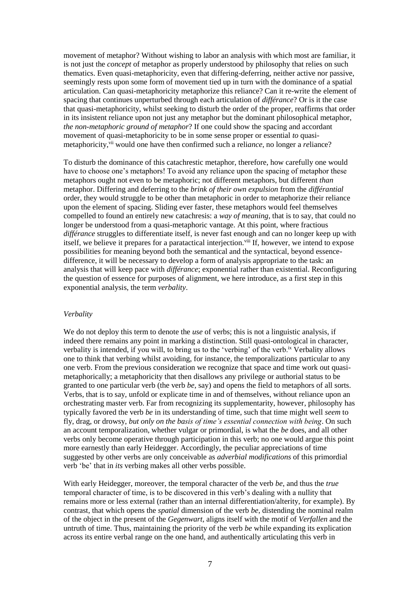movement of metaphor? Without wishing to labor an analysis with which most are familiar, it is not just the *concept* of metaphor as properly understood by philosophy that relies on such thematics. Even quasi-metaphoricity, even that differing-deferring, neither active nor passive, seemingly rests upon some form of movement tied up in turn with the dominance of a spatial articulation. Can quasi-metaphoricity metaphorize this reliance? Can it re-write the element of spacing that continues unperturbed through each articulation of *différance*? Or is it the case that quasi-metaphoricity, whilst seeking to disturb the order of the proper, reaffirms that order in its insistent reliance upon not just any metaphor but the dominant philosophical metaphor, *the non-metaphoric ground of metaphor*? If one could show the spacing and accordant movement of quasi-metaphoricity to be in some sense proper or essential *to* quasimetaphoricity,<sup>vii</sup> would one have then confirmed such a reliance, no longer a *reliance*?

To disturb the dominance of this catachrestic metaphor, therefore, how carefully one would have to choose one's metaphors! To avoid any reliance upon the spacing of metaphor these metaphors ought not even to be metaphoric; not different metaphors, but different *than* metaphor. Differing and deferring to the *brink of their own expulsion* from the *différantial* order, they would struggle to be other than metaphoric in order to metaphorize their reliance upon the element of spacing. Sliding ever faster, these metaphors would feel themselves compelled to found an entirely new catachresis: a *way of meaning*, that is to say, that could no longer be understood from a quasi-metaphoric vantage. At this point, where fractious *différance* struggles to differentiate itself, is never fast enough and can no longer keep up with itself, we believe it prepares for a paratactical interjection.<sup>viii</sup> If, however, we intend to expose possibilities for meaning beyond both the semantical and the syntactical, beyond essencedifference, it will be necessary to develop a form of analysis appropriate to the task: an analysis that will keep pace with *différance*; exponential rather than existential. Reconfiguring the question of essence for purposes of alignment, we here introduce, as a first step in this exponential analysis, the term *verbality*.

### *Verbality*

We do not deploy this term to denote the *use* of verbs; this is not a linguistic analysis, if indeed there remains any point in marking a distinction. Still quasi-ontological in character, verbality is intended, if you will, to bring us to the 'verbing' of the verb.<sup>ix</sup> Verbality allows one to think that verbing whilst avoiding, for instance, the temporalizations particular to any one verb. From the previous consideration we recognize that space and time work out quasimetaphorically; a metaphoricity that then disallows any privilege or authorial status to be granted to one particular verb (the verb *be*, say) and opens the field to metaphors of all sorts. Verbs, that is to say, unfold or explicate time in and of themselves, without reliance upon an orchestrating master verb. Far from recognizing its supplementarity, however, philosophy has typically favored the verb *be* in its understanding of time, such that time might well *seem* to fly, drag, or drowsy, *but only on the basis of time's essential connection with being*. On such an account temporalization, whether vulgar or primordial, is what the *be* does, and all other verbs only become operative through participation in this verb; no one would argue this point more earnestly than early Heidegger. Accordingly, the peculiar appreciations of time suggested by other verbs are only conceivable as *adverbial modifications* of this primordial verb 'be' that in *its* verbing makes all other verbs possible.

With early Heidegger, moreover, the temporal character of the verb *be*, and thus the *true* temporal character of time, is to be discovered in this verb's dealing with a nullity that remains more or less external (rather than an internal differentiation/alterity, for example). By contrast, that which opens the *spatial* dimension of the verb *be*, distending the nominal realm of the object in the present of the *Gegenwart*, aligns itself with the motif of *Verfallen* and the untruth of time. Thus, maintaining the priority of the verb *be* while expanding its explication across its entire verbal range on the one hand, and authentically articulating this verb in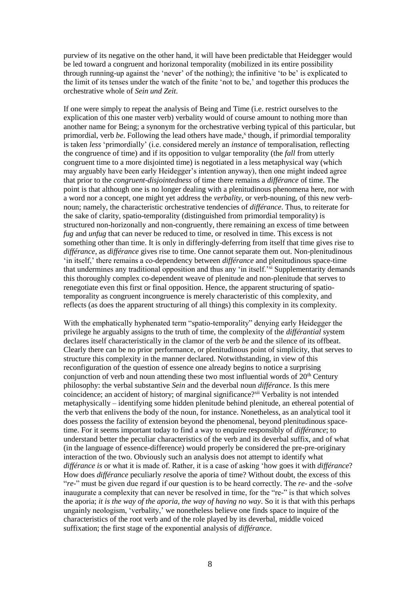purview of its negative on the other hand, it will have been predictable that Heidegger would be led toward a congruent and horizonal temporality (mobilized in its entire possibility through running-up against the 'never' of the nothing); the infinitive 'to be' is explicated to the limit of its tenses under the watch of the finite 'not to be,' and together this produces the orchestrative whole of *Sein und Zeit*.

If one were simply to repeat the analysis of Being and Time (i.e. restrict ourselves to the explication of this one master verb) verbality would of course amount to nothing more than another name for Being; a synonym for the orchestrative verbing typical of this particular, but primordial, verb be. Following the lead others have made,<sup>x</sup> though, if primordial temporality is taken *less* 'primordially' (i.e. considered merely an *instance* of temporalisation, reflecting the congruence of time) and if its opposition to vulgar temporality (the *fall* from utterly congruent time to a more disjointed time) is negotiated in a less metaphysical way (which may arguably have been early Heidegger's intention anyway), then one might indeed agree that prior to the *congruent-disjointedness* of time there remains a *différance* of time. The point is that although one is no longer dealing with a plenitudinous phenomena here, nor with a word nor a concept, one might yet address the *verbality,* or verb-nouning, of this new verbnoun; namely, the characteristic orchestrative tendencies of *différance*. Thus, to reiterate for the sake of clarity, spatio-temporality (distinguished from primordial temporality) is structured non-horizonally and non-congruently, there remaining an excess of time between *fug* and *unfug* that can never be reduced to time, or resolved in time. This excess is not something other than time. It is only in differingly-deferring from itself that time gives rise to *différance*, as *différance* gives rise to time. One cannot separate them out. Non-plenitudinous 'in itself,' there remains a co-dependency between *différance* and plenitudinous space-time that undermines any traditional opposition and thus any 'in itself.'<sup>xi</sup> Supplementarity demands this thoroughly complex co-dependent weave of plenitude and non-plenitude that serves to renegotiate even this first or final opposition. Hence, the apparent structuring of spatiotemporality as congruent incongruence is merely characteristic of this complexity, and reflects (as does the apparent structuring of all things) this complexity in its complexity.

With the emphatically hyphenated term "spatio-temporality" denying early Heidegger the privilege he arguably assigns to the truth of time, the complexity of the *différantial* system declares itself characteristically in the clamor of the verb *be* and the silence of its offbeat. Clearly there can be no prior performance, or plenitudinous point of simplicity, that serves to structure this complexity in the manner declared. Notwithstanding, in view of this reconfiguration of the question of essence one already begins to notice a surprising conjunction of verb and noun attending these two most influential words of  $20<sup>th</sup>$  Century philosophy: the verbal substantive *Sein* and the deverbal noun *différance*. Is this mere coincidence; an accident of history; of marginal significance?<sup>xii</sup> Verbality is not intended metaphysically – identifying some hidden plenitude behind plenitude, an ethereal potential of the verb that enlivens the body of the noun, for instance. Nonetheless, as an analytical tool it does possess the facility of extension beyond the phenomenal, beyond plenitudinous spacetime. For it seems important today to find a way to enquire responsibly of *différance*; to understand better the peculiar characteristics of the verb and its deverbal suffix, and of what (in the language of essence-difference) would properly be considered the pre-pre-originary interaction of the two. Obviously such an analysis does not attempt to identify what *différance is* or what it is made of. Rather, it is a case of asking 'how goes it with *différance*? How does *différance* peculiarly *re*solve the aporia of time? Without doubt, the excess of this "*re*-" must be given due regard if our question is to be heard correctly. The *re*- and the *-solve* inaugurate a complexity that can never be resolved in time, for the "re-" is that which solves the aporia; *it is the way of the aporia, the way of having no way*. So it is that with this perhaps ungainly neologism, 'verbality,' we nonetheless believe one finds space to inquire of the characteristics of the root verb and of the role played by its deverbal, middle voiced suffixation; the first stage of the exponential analysis of *différance*.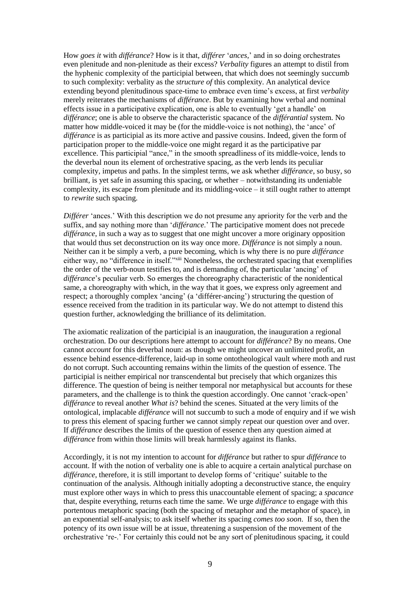How *goes it* with *différance*? How is it that, *différer* '*ances,*' and in so doing orchestrates even plenitude and non-plenitude as their excess? *Verbality* figures an attempt to distil from the hyphenic complexity of the participial between, that which does not seemingly succumb to such complexity: verbality as the *structure of* this complexity. An analytical device extending beyond plenitudinous space-time to embrace even time's excess, at first *verbality* merely reiterates the mechanisms of *différance*. But by examining how verbal and nominal effects issue in a participative explication, one is able to eventually 'get a handle' on *différance*; one is able to observe the characteristic spacance of the *différantial* system. No matter how middle-voiced it may be (for the middle-voice is not nothing), the 'ance' of *différance* is as participial as its more active and passive cousins. Indeed, given the form of participation proper to the middle-voice one might regard it as the participative par excellence. This participial "ance," in the smooth spreadliness of its middle-voice, lends to the deverbal noun its element of orchestrative spacing, as the verb lends its peculiar complexity, impetus and paths. In the simplest terms, we ask whether *différance*, so busy, so brilliant, is yet safe in assuming this spacing, or whether – notwithstanding its undeniable complexity, its escape from plenitude and its middling-voice – it still ought rather to attempt to *rewrite* such spacing.

*Différer* 'ances.' With this description we do not presume any apriority for the verb and the suffix, and say nothing more than '*différance*.' The participative moment does not precede *différance*, in such a way as to suggest that one might uncover a more originary opposition that would thus set deconstruction on its way once more. *Différance* is not simply a noun. Neither can it be simply a verb, a pure becoming, which is why there is no pure *différance* either way, no "difference in itself."xiii Nonetheless, the orchestrated spacing that exemplifies the order of the verb-noun testifies to, and is demanding of, the particular 'ancing' of *différance*'s peculiar verb. So emerges the choreography characteristic of the nonidentical same, a choreography with which, in the way that it goes, we express only agreement and respect; a thoroughly complex 'ancing' (a 'différer-ancing') structuring the question of essence received from the tradition in its particular way. We do not attempt to distend this question further, acknowledging the brilliance of its delimitation.

The axiomatic realization of the participial is an inauguration, the inauguration a regional orchestration. Do our descriptions here attempt to account for *différance*? By no means. One cannot *account* for this deverbal noun: as though we might uncover an unlimited profit, an essence behind essence-difference, laid-up in some ontotheological vault where moth and rust do not corrupt. Such accounting remains within the limits of the question of essence. The participial is neither empirical nor transcendental but precisely that which organizes this difference. The question of being is neither temporal nor metaphysical but accounts for these parameters, and the challenge is to think the question accordingly. One cannot 'crack-open' *différance* to reveal another *What is*? behind the scenes. Situated at the very limits of the ontological, implacable *différance* will not succumb to such a mode of enquiry and if we wish to press this element of spacing further we cannot simply *re*peat our question over and over. If *différance* describes the limits of the question of essence then any question aimed at *différance* from within those limits will break harmlessly against its flanks.

Accordingly, it is not my intention to account for *différance* but rather to spur *différance* to account. If with the notion of verbality one is able to acquire a certain analytical purchase on *différance*, therefore, it is still important to develop forms of 'critique' suitable to the continuation of the analysis. Although initially adopting a deconstructive stance, the enquiry must explore other ways in which to press this unaccountable element of spacing; a *spacance* that, despite everything, returns each time the same. We urge *différance* to engage with this portentous metaphoric spacing (both the spacing of metaphor and the metaphor of space), in an exponential self-analysis; to ask itself whether its spacing *comes too soon*. If so, then the potency of its own issue will be at issue, threatening a suspension of the movement of the orchestrative 're-.' For certainly this could not be any sort of plenitudinous spacing, it could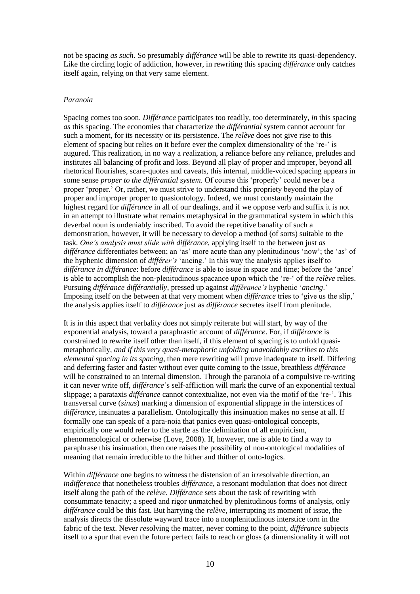not be spacing *as such*. So presumably *différance* will be able to rewrite its quasi-dependency. Like the circling logic of addiction, however, in rewriting this spacing *différance* only catches itself again, relying on that very same element.

## *Paranoia*

Spacing comes too soon. *Différance* participates too readily, too determinately, *in* this spacing *as* this spacing. The economies that characterize the *différantial* system cannot account for such a moment, for its necessity or its persistence. The *relève* does not give rise to this element of spacing but relies on it before ever the complex dimensionality of the 're-' is augured. This realization, in no way a *re*alization, a reliance before any *re*liance, preludes and institutes all balancing of profit and loss. Beyond all play of proper and improper, beyond all rhetorical flourishes, scare-quotes and caveats, this internal, middle-voiced spacing appears in some sense *proper to the différantial system*. Of course this 'properly' could never be a proper 'proper.' Or, rather, we must strive to understand this propriety beyond the play of proper and improper proper to quasiontology. Indeed, we must constantly maintain the highest regard for *différance* in all of our dealings, and if we oppose verb and suffix it is not in an attempt to illustrate what remains metaphysical in the grammatical system in which this deverbal noun is undeniably inscribed. To avoid the repetitive banality of such a demonstration, however, it will be necessary to develop a method (of sorts) suitable to the task. *One's analysis must slide with différance*, applying itself to the between just *as différance* differentiates between; an 'as' more acute than any plenitudinous 'now'; the 'as' of the hyphenic dimension of *différer's* 'ancing.' In this way the analysis applies itself to *différance in différance*: before *différance* is able to issue in space and time; before the 'ance' is able to accomplish the non-plenitudinous spacance upon which the 're-' of the *relève* relies. Pursuing *différance différantially*, pressed up against *différance's* hyphenic '*ancing*.' Imposing itself on the between at that very moment when *différance* tries to 'give us the slip,' the analysis applies itself to *différance* just as *différance* secretes itself from plenitude.

It is in this aspect that verbality does not simply reiterate but will start, by way of the exponential analysis, toward a paraphrastic account of *différance*. For, if *différance* is constrained to rewrite itself other than itself, if this element of spacing is to unfold quasimetaphorically, *and if this very quasi-metaphoric unfolding unavoidably ascribes to this elemental spacing in its spacing*, then mere rewriting will prove inadequate to itself. Differing and deferring faster and faster without ever quite coming to the issue, breathless *différance*  will be constrained to an internal dimension. Through the paranoia of a compulsive re-writing it can never write off, *différance*'s self-affliction will mark the curve of an exponential textual slippage; a parataxis *différance* cannot contextualize, not even via the motif of the 're-'. This transversal curve (*sinus*) marking a dimension of exponential slippage in the interstices of *différance*, insinuates a parallelism. Ontologically this insinuation makes no sense at all. If formally one can speak of a para-noia that panics even quasi-ontological concepts, empirically one would refer to the startle as the delimitation of all empiricism, phenomenological or otherwise (Love, 2008). If, however, one is able to find a way to paraphrase this insinuation, then one raises the possibility of non-ontological modalities of meaning that remain irreducible to the hither and thither of onto-logics.

Within *différance* one begins to witness the distension of an ir*re*solvable direction, an *indifference* that nonetheless troubles *différance*, a resonant modulation that does not direct itself along the path of the *relève*. *Différance* sets about the task of rewriting with consummate tenacity; a speed and rigor unmatched by plenitudinous forms of analysis, only *différance* could be this fast. But harrying the *relève*, interrupting its moment of issue, the analysis directs the dissolute wayward trace into a nonplenitudinous interstice torn in the fabric of the text. Never *re*solving the matter, never coming to the point, *différance* subjects itself to a spur that even the future perfect fails to reach or gloss (a dimensionality it will not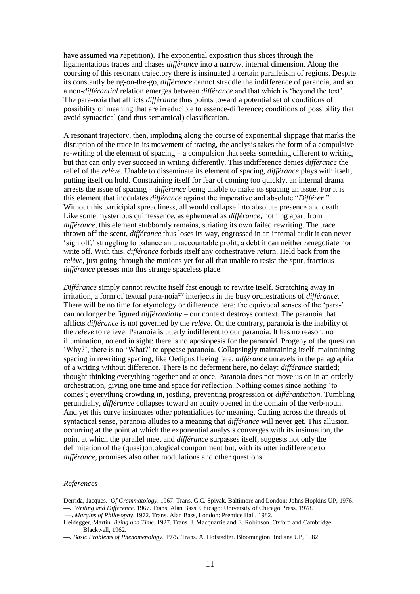have assumed via *re*petition). The exponential exposition thus slices through the ligamentatious traces and chases *différance* into a narrow, internal dimension. Along the coursing of this resonant trajectory there is insinuated a certain parallelism of regions. Despite its constantly being-on-the-go, *différance* cannot straddle the indifference of paranoia, and so a non*-différantial* relation emerges between *différance* and that which is 'beyond the text'. The para-noia that afflicts *différance* thus points toward a potential set of conditions of possibility of meaning that are irreducible to essence-difference; conditions of possibility that avoid syntactical (and thus semantical) classification.

A resonant trajectory, then, imploding along the course of exponential slippage that marks the disruption of the trace in its movement of tracing, the analysis takes the form of a compulsive re-writing of the element of spacing – a compulsion that seeks something different to writing, but that can only ever succeed in writing differently. This indifference denies *différance* the relief of the *relève*. Unable to disseminate its element of spacing, *différance* plays with itself, putting itself on hold. Constraining itself for fear of coming too quickly, an internal drama arrests the issue of spacing – *différance* being unable to make its spacing an issue. For it is this element that inoculates *différance* against the imperative and absolute "*Différer*!" Without this participial spreadliness, all would collapse into absolute presence and death. Like some mysterious quintessence, as ephemeral as *différance*, nothing apart from *différance*, this element stubbornly remains, striating its own failed rewriting. The trace thrown off the scent, *différance* thus loses its way, engrossed in an internal audit it can never 'sign off;' struggling to balance an unaccountable profit, a debt it can neither *re*negotiate nor write off. With this, *différance* forbids itself any orchestrative *re*turn. Held back from the *relève*, just going through the motions yet for all that unable to resist the spur, fractious *différance* presses into this strange spaceless place.

*Différance* simply cannot rewrite itself fast enough to rewrite itself. Scratching away in irritation, a form of textual para-noia<sup>xiv</sup> interjects in the busy orchestrations of *différance*. There will be no time for etymology or difference here; the equivocal senses of the 'para-' can no longer be figured *différantially* – our context destroys context. The paranoia that afflicts *différance* is not governed by the *relève*. On the contrary, paranoia is the inability of the *relève* to relieve. Paranoia is utterly indifferent to our paranoia. It has no reason, no illumination, no end in sight: there is no aposiopesis for the paranoid. Progeny of the question 'Why?', there is no 'What?' to appease paranoia. Collapsingly maintaining itself, maintaining spacing in rewriting spacing, like Oedipus fleeing fate, *différance* unravels in the paragraphia of a writing without difference. There is no deferment here, no delay: *différance* startled; thought thinking everything together and at once. Paranoia does not move us on in an orderly orchestration, giving one time and space for *re*flection. Nothing comes since nothing 'to comes'; everything crowding in, jostling, preventing progression or *différantiation*. Tumbling gerundially, *différance* collapses toward an acuity opened in the domain of the verb-noun. And yet this curve insinuates other potentialities for meaning. Cutting across the threads of syntactical sense, paranoia alludes to a meaning that *différance* will never get. This allusion, occurring at the point at which the exponential analysis converges with its insinuation, the point at which the parallel meet and *différance* surpasses itself, suggests not only the delimitation of the (quasi)ontological comportment but, with its utter indifference to *différance*, promises also other modulations and other questions.

#### *References*

- Derrida, Jacques. *Of Grammatology*. 1967. Trans. G.C. Spivak. Baltimore and London: Johns Hopkins UP, 1976. **—.** *Writing and Difference*. 1967. Trans. Alan Bass. Chicago: University of Chicago Press, 1978.
- **—.** *Margins of Philosophy*. 1972. Trans. Alan Bass, London: Prentice Hall, 1982.
- Heidegger, Martin. *Being and Time*. 1927. Trans. J. Macquarrie and E. Robinson. Oxford and Cambridge: Blackwell, 1962.

**<sup>—</sup>.** *Basic Problems of Phenomenology*. 1975. Trans. A. Hofstadter. Bloomington: Indiana UP, 1982.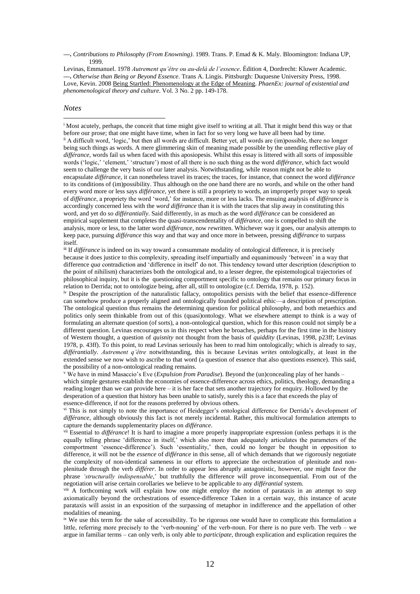**—.** *Contributions to Philosophy (From Enowning)*. 1989. Trans. P. Emad & K. Maly. Bloomington: Indiana UP, 1999.

Levinas, Emmanuel. 1978 *Autrement qu'être ou au-delà de l'essence*. Édition 4, Dordrecht: Kluwer Academic. **—.** *Otherwise than Being or Beyond Essence*. Trans A. Lingis. Pittsburgh: Duquesne University Press, 1998. Love, Kevin. 2008 Being Startled: Phenomenology at the Edge of Meaning. *PhaenEx: journal of existential and phenomenological theory and culture*. Vol. 3 No. 2 pp. 149-178.

#### *Notes*

 $\overline{a}$ 

<sup>i</sup> Most acutely, perhaps, the conceit that time might give itself to writing at all. That it might bend this way or that before our prose; that one might have time, when in fact for so very long we have all been had by time. ii A difficult word, 'logic,' but then all words are difficult. Better yet, all words are (im)possible, there no longer being such things as words. A mere glimmering skin of meaning made possible by the unending reflective play of *différance*, words fail us when faced with this aposiopesis. Whilst this essay is littered with all sorts of impossible words ('logic,' 'element,' 'structure') most of all there is no such thing as the word *différance*, which fact would seem to challenge the very basis of our later analysis. Notwithstanding, while reason might not be able to encapsulate *différance*, it can nonetheless travel its traces; the traces, for instance, that connect the word *différance* to its conditions of (im)possibility. Thus although on the one hand there are no words, and while on the other hand every word more or less says *différance*, yet there is still a propriety to words, an improperly proper way to speak of *différance*, a propriety the word 'word,' for instance, more or less lacks. The ensuing analysis of *différance* is accordingly concerned less with the *word différance* than it is with the traces that slip away in constituting this word, and yet do so *différantially*. Said differently, in as much as the word *différance* can be considered an empirical supplement that completes the quasi-transcendentality of *différance*, one is compelled to shift the analysis, more or less, to the latter word *différance*, now *re*written. Whichever way it goes, our analysis attempts to keep pace, pursuing *différance* this way and that way and once more in between, pressing *différance* to surpass itself.

iii If *différance* is indeed on its way toward a consummate modality of ontological difference, it is precisely because it does justice to this complexity, spreading itself impartially and equanimously 'between' in a way that difference *qua* contradiction and 'difference in itself' do not. This tendency toward utter description (description to the point of nihilism) characterizes both the ontological and, to a lesser degree, the epistemological trajectories of philosophical inquiry, but it is the questioning comportment specific to ontology that remains our primary focus in relation to Derrida; not to ontologize being, after all, still to ontologize (c.f. Derrida, 1978, p. 152).

iv Despite the proscription of the naturalistic fallacy, ontopolitics persists with the belief that essence-difference can somehow produce a properly aligned and ontologically founded political ethic—a description of prescription. The ontological question thus remains the determining question for political philosophy, and both metaethics and politics only seem thinkable from out of this (quasi)ontology. What we elsewhere attempt to think is a way of formulating an alternate question (of sorts), a non-ontological question, which for this reason could not simply be a different question. Levinas encourages us in this respect when he broaches, perhaps for the first time in the history of Western thought, a question of *quisnity* not thought from the basis of *quiddity* (Levinas, 1998, p23ff; Levinas 1978, p. 43ff). To this point, to read Levinas seriously has been to read him ontologically; which is already to say, *différantially*. *Autrement q'être* notwithstanding, this is because Levinas *writes* ontologically, at least in the extended sense we now wish to ascribe to that word (a question of essence that also questions essence). This said, the possibility of a non-ontological reading remains.

<sup>v</sup> We have in mind Masaccio's Eve (*Expulsion from Paradise*). Beyond the (un)concealing play of her hands – which simple gestures establish the economies of essence-difference across ethics, politics, theology, demanding a reading longer than we can provide here – it is her face that sets another trajectory for enquiry. Hollowed by the desperation of a question that history has been unable to satisfy, surely this is a face that exceeds the play of essence-difference, if not for the reasons preferred by obvious others.

vi This is not simply to note the importance of Heidegger's ontological difference for Derrida's development of *différance*, although obviously this fact is not merely incidental. Rather, this multivocal formulation attempts to capture the demands supplementarity places on *différance*.

vii Essential to *différance*! It is hard to imagine a more properly inappropriate expression (unless perhaps it is the equally telling phrase 'difference in itself,' which also more than adequately articulates the parameters of the comportment 'essence-difference'). Such 'essentiality,' then, could no longer be thought in opposition to difference, it will not be the *essence* of *différance* in this sense, all of which demands that we rigorously negotiate the complexity of non-identical sameness in our efforts to appreciate the orchestration of plenitude and nonplenitude through the verb *différer*. In order to appear less abruptly antagonistic, however, one might favor the phrase *'structurally indispensable*,' but truthfully the difference will prove inconsequential. From out of the negotiation will arise certain corollaries we believe to be applicable to any *différantial* system.

<sup>viii</sup> A forthcoming work will explain how one might employ the notion of parataxis in an attempt to step axiomatically beyond the orchestrations of essence-difference Taken in a certain way, this instance of acute parataxis will assist in an exposition of the surpassing of metaphor in indifference and the appellation of other modalities of meaning.

<sup>ix</sup> We use this term for the sake of accessibility. To be rigorous one would have to complicate this formulation a little, referring more precisely to the 'verb-nouning' of the verb-noun. For there is no pure verb. The verb – we argue in familiar terms – can only verb, is only able to *participate*, through explication and explication requires the